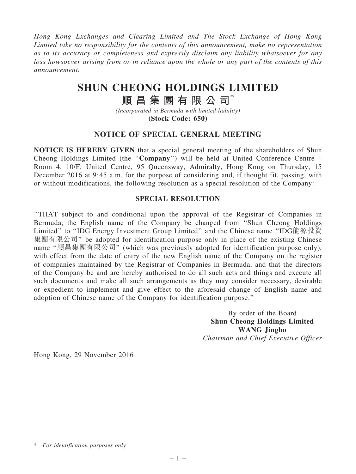*Hong Kong Exchanges and Clearing Limited and The Stock Exchange of Hong Kong Limited take no responsibility for the contents of this announcement, make no representation as to its accuracy or completeness and expressly disclaim any liability whatsoever for any loss howsoever arising from or in reliance upon the whole or any part of the contents of this announcement.*

## SHUN CHEONG HOLDINGS LIMITED

# 順昌集團有限公司\*

*(Incorporated in Bermuda with limited liability)* (Stock Code: 650)

### NOTICE OF SPECIAL GENERAL MEETING

NOTICE IS HEREBY GIVEN that a special general meeting of the shareholders of Shun Cheong Holdings Limited (the ''Company'') will be held at United Conference Centre – Room 4, 10/F, United Centre, 95 Queensway, Admiralty, Hong Kong on Thursday, 15 December 2016 at 9:45 a.m. for the purpose of considering and, if thought fit, passing, with or without modifications, the following resolution as a special resolution of the Company:

#### SPECIAL RESOLUTION

''THAT subject to and conditional upon the approval of the Registrar of Companies in Bermuda, the English name of the Company be changed from ''Shun Cheong Holdings Limited'' to ''IDG Energy Investment Group Limited'' and the Chinese name ''IDG能源投資 集團有限公司'' be adopted for identification purpose only in place of the existing Chinese name ''順昌集團有限公司'' (which was previously adopted for identification purpose only), with effect from the date of entry of the new English name of the Company on the register of companies maintained by the Registrar of Companies in Bermuda, and that the directors of the Company be and are hereby authorised to do all such acts and things and execute all such documents and make all such arrangements as they may consider necessary, desirable or expedient to implement and give effect to the aforesaid change of English name and adoption of Chinese name of the Company for identification purpose.''

> By order of the Board Shun Cheong Holdings Limited WANG Jingbo *Chairman and Chief Executive Officer*

Hong Kong, 29 November 2016

<sup>\*</sup> *For identification purposes only*